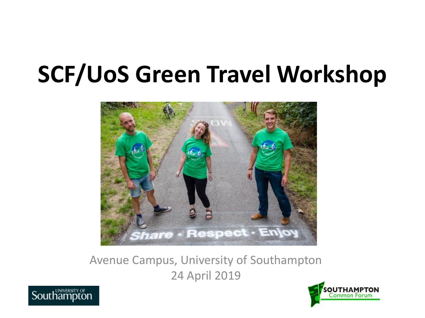# **SCF/UoS Green Travel Workshop**



Avenue Campus, University of Southampton 24 April 2019



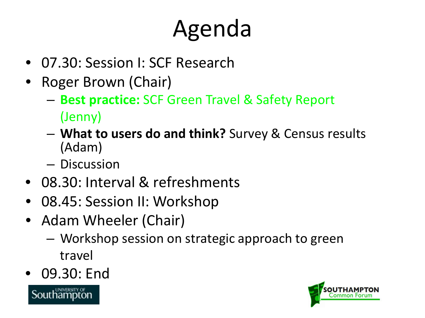# Agenda

- 07.30: Session I: SCF Research
- Roger Brown (Chair)
	- **Best practice:** SCF Green Travel & Safety Report (Jenny)
	- **What to users do and think?** Survey & Census results (Adam)
	- Discussion
- 08.30: Interval & refreshments
- 08.45: Session II: Workshop
- Adam Wheeler (Chair)
	- Workshop session on strategic approach to green travel
- 09.30: End



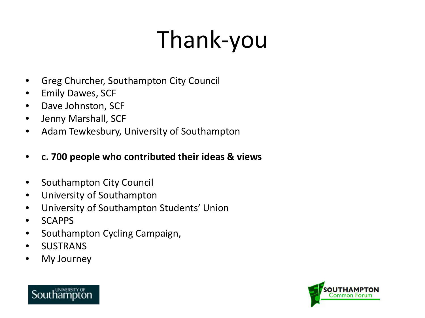# Thank-you

- Greg Churcher, Southampton City Council
- Emily Dawes, SCF
- Dave Johnston, SCF
- Jenny Marshall, SCF
- Adam Tewkesbury, University of Southampton
- **c. 700 people who contributed their ideas & views**
- Southampton City Council
- University of Southampton
- University of Southampton Students' Union
- SCAPPS
- Southampton Cycling Campaign,
- SUSTRANS
- My Journey



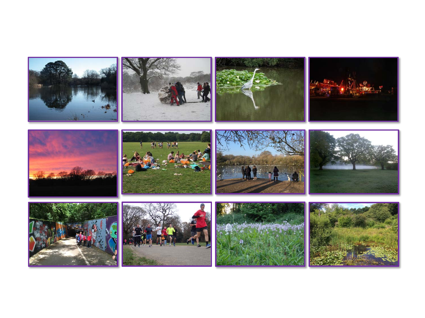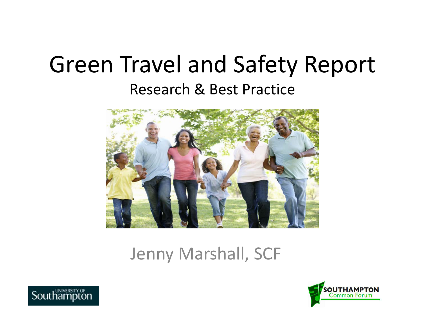#### Green Travel and Safety Report Research & Best Practice



#### Jenny Marshall, SCF



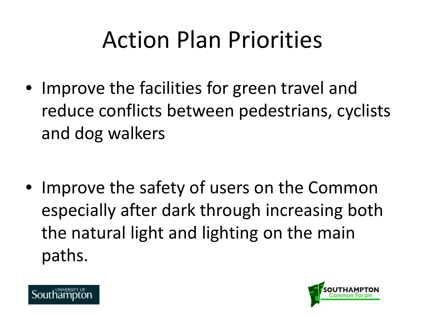# Action Plan Priorities

• Improve the facilities for green travel and reduce conflicts between pedestrians, cyclists and dog walkers

• Improve the safety of users on the Common especially after dark through increasing both the natural light and lighting on the main paths.



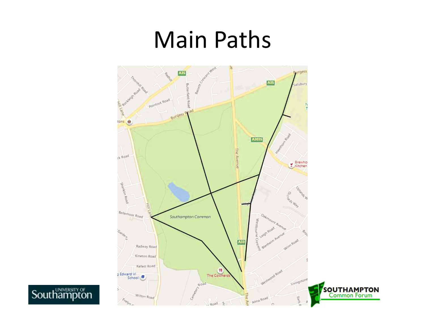#### Main Paths



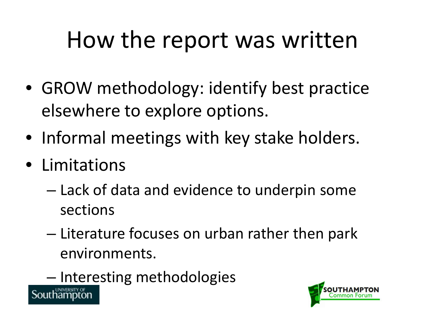## How the report was written

- GROW methodology: identify best practice elsewhere to explore options.
- Informal meetings with key stake holders.
- Limitations
	- Lack of data and evidence to underpin some sections
	- Literature focuses on urban rather then park environments.
	- Interesting methodologies

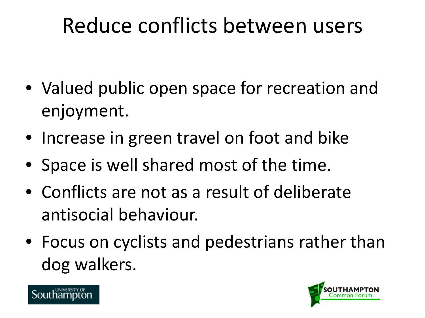#### Reduce conflicts between users

- Valued public open space for recreation and enjoyment.
- Increase in green travel on foot and bike
- Space is well shared most of the time.
- Conflicts are not as a result of deliberate antisocial behaviour.
- Focus on cyclists and pedestrians rather than dog walkers.



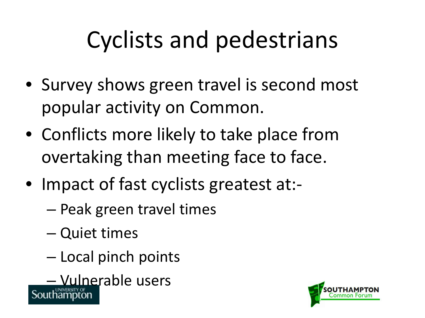# Cyclists and pedestrians

- Survey shows green travel is second most popular activity on Common.
- Conflicts more likely to take place from overtaking than meeting face to face.
- Impact of fast cyclists greatest at:-
	- Peak green travel times
	- Quiet times
	- Local pinch points



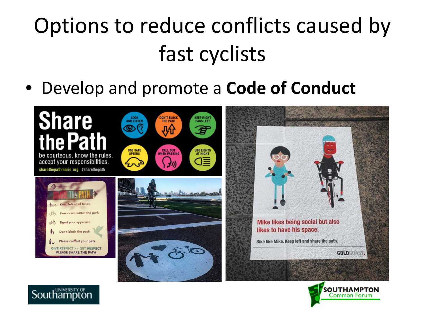## Options to reduce conflicts caused by fast cyclists

• Develop and promote a **Code of Conduct**





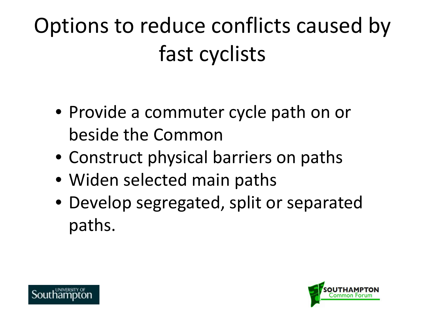## Options to reduce conflicts caused by fast cyclists

- Provide a commuter cycle path on or beside the Common
- Construct physical barriers on paths
- Widen selected main paths
- Develop segregated, split or separated paths.

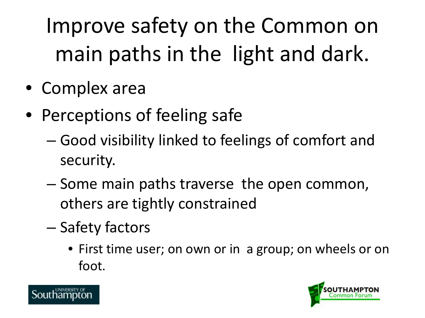Improve safety on the Common on main paths in the light and dark.

- Complex area
- Perceptions of feeling safe
	- Good visibility linked to feelings of comfort and security.
	- Some main paths traverse the open common, others are tightly constrained
	- Safety factors
		- First time user; on own or in a group; on wheels or on foot.



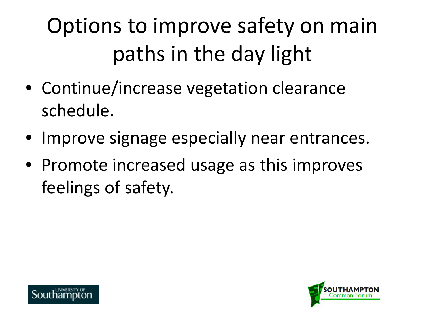## Options to improve safety on main paths in the day light

- Continue/increase vegetation clearance schedule.
- Improve signage especially near entrances.
- Promote increased usage as this improves feelings of safety.

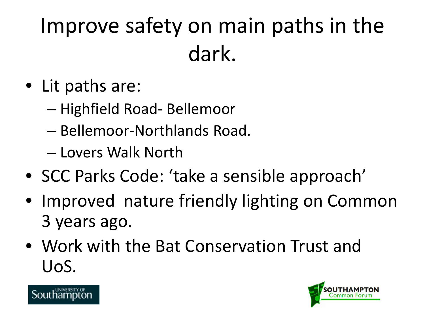## Improve safety on main paths in the dark.

- Lit paths are:
	- Highfield Road- Bellemoor
	- Bellemoor-Northlands Road.
	- Lovers Walk North
- SCC Parks Code: 'take a sensible approach'
- Improved nature friendly lighting on Common 3 years ago.
- Work with the Bat Conservation Trust and UoS.



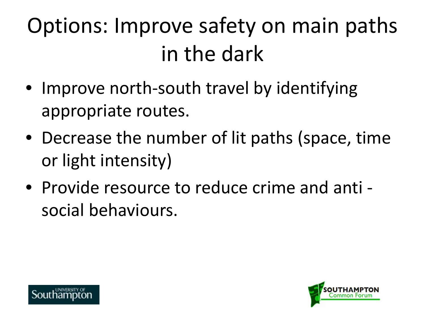## Options: Improve safety on main paths in the dark

- Improve north-south travel by identifying appropriate routes.
- Decrease the number of lit paths (space, time or light intensity)
- Provide resource to reduce crime and anti social behaviours.



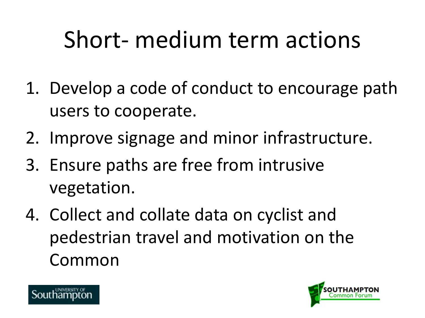# Short- medium term actions

- 1. Develop a code of conduct to encourage path users to cooperate.
- 2. Improve signage and minor infrastructure.
- 3. Ensure paths are free from intrusive vegetation.
- 4. Collect and collate data on cyclist and pedestrian travel and motivation on the Common



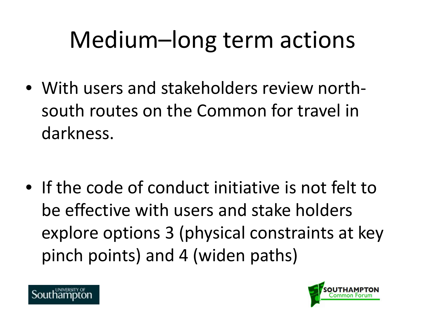# Medium–long term actions

• With users and stakeholders review northsouth routes on the Common for travel in darkness.

• If the code of conduct initiative is not felt to be effective with users and stake holders explore options 3 (physical constraints at key pinch points) and 4 (widen paths)



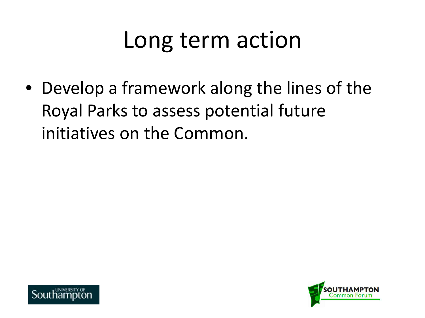#### Long term action

• Develop a framework along the lines of the Royal Parks to assess potential future initiatives on the Common.

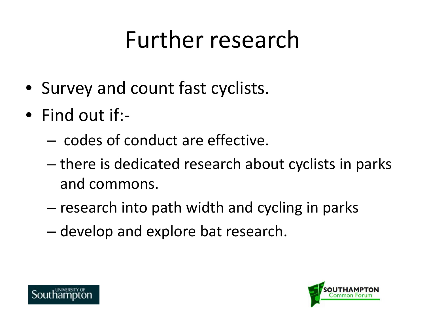#### Further research

- Survey and count fast cyclists.
- Find out if:-
	- codes of conduct are effective.
	- there is dedicated research about cyclists in parks and commons.
	- research into path width and cycling in parks
	- develop and explore bat research.